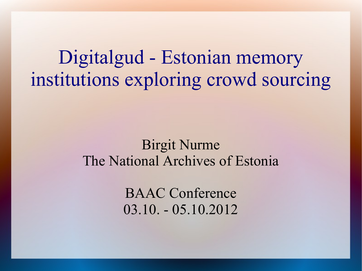Digitalgud - Estonian memory institutions exploring crowd sourcing

#### Birgit Nurme The National Archives of Estonia

BAAC Conference 03.10. - 05.10.2012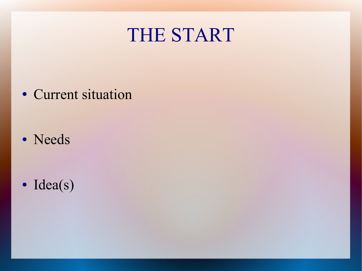#### THE START

• Current situation

• Needs

• Idea(s)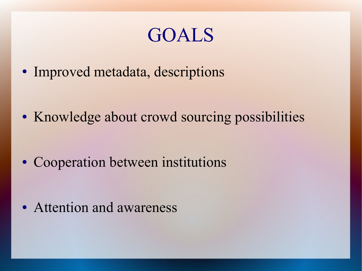#### GOALS

• Improved metadata, descriptions

• Knowledge about crowd sourcing possibilities

• Cooperation between institutions

• Attention and awareness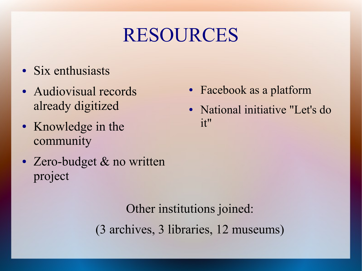## RESOURCES

- Six enthusiasts
- Audiovisual records already digitized
- Knowledge in the community
- Zero-budget & no written project
- Facebook as a platform
- National initiative "Let's do it"

Other institutions joined: (3 archives, 3 libraries, 12 museums)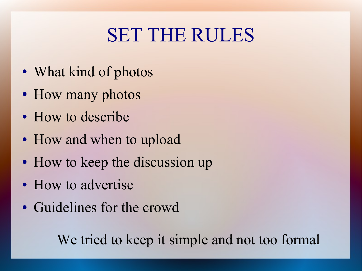## SET THE RULES

- What kind of photos
- How many photos
- How to describe
- How and when to upload
- How to keep the discussion up
- How to advertise
- Guidelines for the crowd

We tried to keep it simple and not too formal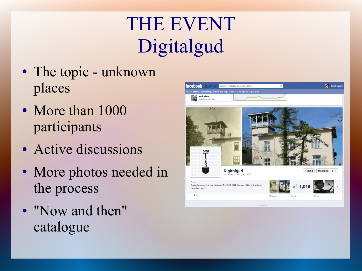# THE EVENT Digitalgud

- The topic unknown places
- More than 1000 participants
- Active discussions
- More photos needed in the process
- "Now and then" catalogue

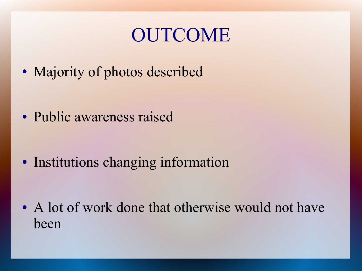### OUTCOME

• Majority of photos described

• Public awareness raised

• Institutions changing information

• A lot of work done that otherwise would not have been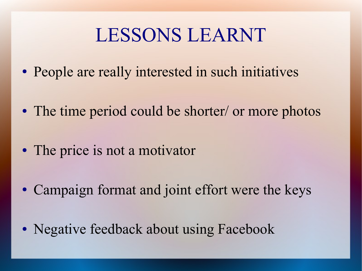### LESSONS LEARNT

- People are really interested in such initiatives
- The time period could be shorter/ or more photos
- The price is not a motivator
- Campaign format and joint effort were the keys
- Negative feedback about using Facebook